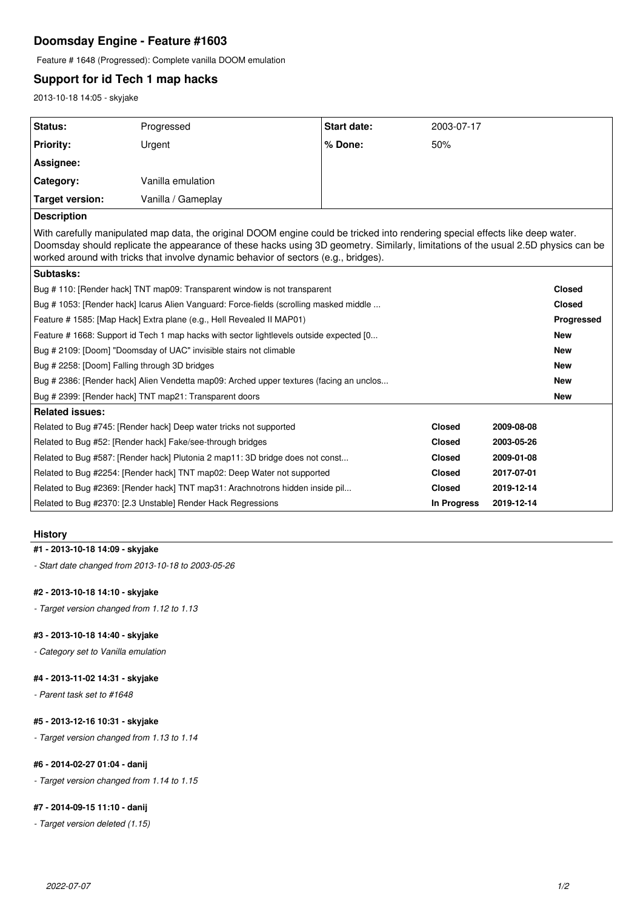# **Doomsday Engine - Feature #1603**

Feature # 1648 (Progressed): Complete vanilla DOOM emulation

# **Support for id Tech 1 map hacks**

2013-10-18 14:05 - skyjake

| Status:                                                                                                                                                                                                                                                                                                                                                     | Progressed         | <b>Start date:</b> | 2003-07-17    |            |               |
|-------------------------------------------------------------------------------------------------------------------------------------------------------------------------------------------------------------------------------------------------------------------------------------------------------------------------------------------------------------|--------------------|--------------------|---------------|------------|---------------|
| <b>Priority:</b>                                                                                                                                                                                                                                                                                                                                            | Urgent             | % Done:            | 50%           |            |               |
|                                                                                                                                                                                                                                                                                                                                                             |                    |                    |               |            |               |
| Assignee:                                                                                                                                                                                                                                                                                                                                                   |                    |                    |               |            |               |
| Category:                                                                                                                                                                                                                                                                                                                                                   | Vanilla emulation  |                    |               |            |               |
| Target version:                                                                                                                                                                                                                                                                                                                                             | Vanilla / Gameplay |                    |               |            |               |
| <b>Description</b>                                                                                                                                                                                                                                                                                                                                          |                    |                    |               |            |               |
| With carefully manipulated map data, the original DOOM engine could be tricked into rendering special effects like deep water.<br>Doomsday should replicate the appearance of these hacks using 3D geometry. Similarly, limitations of the usual 2.5D physics can be<br>worked around with tricks that involve dynamic behavior of sectors (e.g., bridges). |                    |                    |               |            |               |
| Subtasks:                                                                                                                                                                                                                                                                                                                                                   |                    |                    |               |            |               |
| Bug #110: [Render hack] TNT map09: Transparent window is not transparent                                                                                                                                                                                                                                                                                    |                    |                    |               |            | <b>Closed</b> |
| Bug #1053: [Render hack] Icarus Alien Vanguard: Force-fields (scrolling masked middle                                                                                                                                                                                                                                                                       |                    |                    |               |            | <b>Closed</b> |
| Feature # 1585: [Map Hack] Extra plane (e.g., Hell Revealed II MAP01)                                                                                                                                                                                                                                                                                       |                    |                    |               |            | Progressed    |
| Feature #1668: Support id Tech 1 map hacks with sector lightlevels outside expected [0                                                                                                                                                                                                                                                                      |                    |                    |               |            | <b>New</b>    |
| Bug # 2109: [Doom] "Doomsday of UAC" invisible stairs not climable                                                                                                                                                                                                                                                                                          |                    |                    |               |            | <b>New</b>    |
| Bug # 2258: [Doom] Falling through 3D bridges                                                                                                                                                                                                                                                                                                               |                    |                    |               |            | <b>New</b>    |
| Bug # 2386: [Render hack] Alien Vendetta map09: Arched upper textures (facing an unclos                                                                                                                                                                                                                                                                     |                    |                    |               |            | <b>New</b>    |
| Bug # 2399: [Render hack] TNT map21: Transparent doors                                                                                                                                                                                                                                                                                                      |                    |                    |               |            | <b>New</b>    |
| <b>Related issues:</b>                                                                                                                                                                                                                                                                                                                                      |                    |                    |               |            |               |
| Related to Bug #745: [Render hack] Deep water tricks not supported                                                                                                                                                                                                                                                                                          |                    |                    | <b>Closed</b> | 2009-08-08 |               |
| Related to Bug #52: [Render hack] Fake/see-through bridges<br><b>Closed</b>                                                                                                                                                                                                                                                                                 |                    |                    |               | 2003-05-26 |               |
| Related to Bug #587: [Render hack] Plutonia 2 map11: 3D bridge does not const                                                                                                                                                                                                                                                                               |                    |                    | <b>Closed</b> | 2009-01-08 |               |
| Related to Bug #2254: [Render hack] TNT map02: Deep Water not supported                                                                                                                                                                                                                                                                                     |                    |                    | <b>Closed</b> | 2017-07-01 |               |
| Related to Bug #2369: [Render hack] TNT map31: Arachnotrons hidden inside pil                                                                                                                                                                                                                                                                               |                    |                    | <b>Closed</b> | 2019-12-14 |               |
| Related to Bug #2370: [2.3 Unstable] Render Hack Regressions                                                                                                                                                                                                                                                                                                |                    |                    | In Progress   | 2019-12-14 |               |

## **History**

## **#1 - 2013-10-18 14:09 - skyjake**

*- Start date changed from 2013-10-18 to 2003-05-26*

## **#2 - 2013-10-18 14:10 - skyjake**

*- Target version changed from 1.12 to 1.13*

## **#3 - 2013-10-18 14:40 - skyjake**

*- Category set to Vanilla emulation*

## **#4 - 2013-11-02 14:31 - skyjake**

*- Parent task set to #1648*

## **#5 - 2013-12-16 10:31 - skyjake**

*- Target version changed from 1.13 to 1.14*

## **#6 - 2014-02-27 01:04 - danij**

*- Target version changed from 1.14 to 1.15*

## **#7 - 2014-09-15 11:10 - danij**

*- Target version deleted (1.15)*